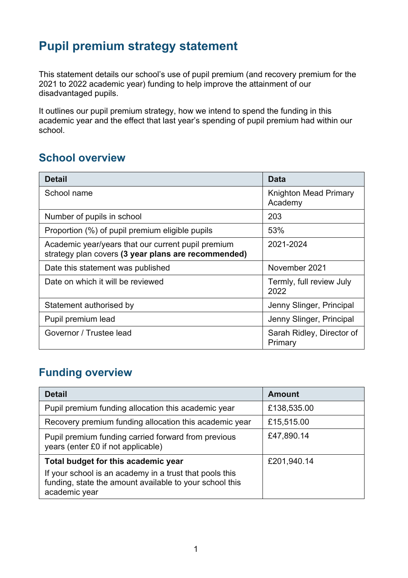## **Pupil premium strategy statement**

This statement details our school's use of pupil premium (and recovery premium for the 2021 to 2022 academic year) funding to help improve the attainment of our disadvantaged pupils.

It outlines our pupil premium strategy, how we intend to spend the funding in this academic year and the effect that last year's spending of pupil premium had within our school.

## **School overview**

| <b>Detail</b>                                                                                             | <b>Data</b>                             |
|-----------------------------------------------------------------------------------------------------------|-----------------------------------------|
| School name                                                                                               | <b>Knighton Mead Primary</b><br>Academy |
| Number of pupils in school                                                                                | 203                                     |
| Proportion (%) of pupil premium eligible pupils                                                           | 53%                                     |
| Academic year/years that our current pupil premium<br>strategy plan covers (3 year plans are recommended) | 2021-2024                               |
| Date this statement was published                                                                         | November 2021                           |
| Date on which it will be reviewed                                                                         | Termly, full review July<br>2022        |
| Statement authorised by                                                                                   | Jenny Slinger, Principal                |
| Pupil premium lead                                                                                        | Jenny Slinger, Principal                |
| Governor / Trustee lead                                                                                   | Sarah Ridley, Director of<br>Primary    |

## **Funding overview**

| <b>Detail</b>                                                                                                                                                              | <b>Amount</b> |
|----------------------------------------------------------------------------------------------------------------------------------------------------------------------------|---------------|
| Pupil premium funding allocation this academic year                                                                                                                        | £138,535.00   |
| Recovery premium funding allocation this academic year                                                                                                                     | £15,515.00    |
| Pupil premium funding carried forward from previous<br>years (enter £0 if not applicable)                                                                                  | £47,890.14    |
| Total budget for this academic year<br>If your school is an academy in a trust that pools this<br>funding, state the amount available to your school this<br>academic year | £201,940.14   |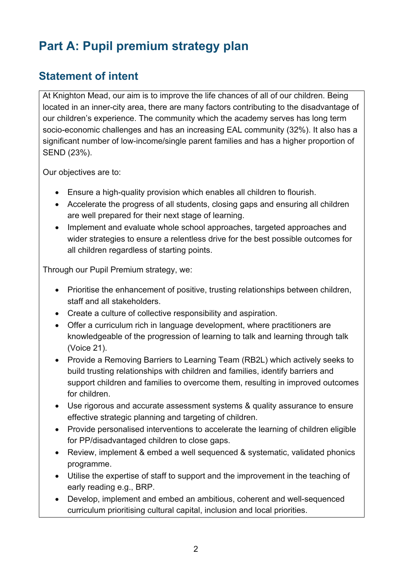# **Part A: Pupil premium strategy plan**

## **Statement of intent**

At Knighton Mead, our aim is to improve the life chances of all of our children. Being located in an inner-city area, there are many factors contributing to the disadvantage of our children's experience. The community which the academy serves has long term socio-economic challenges and has an increasing EAL community (32%). It also has a significant number of low-income/single parent families and has a higher proportion of SEND (23%).

Our objectives are to:

- Ensure a high-quality provision which enables all children to flourish.
- Accelerate the progress of all students, closing gaps and ensuring all children are well prepared for their next stage of learning.
- Implement and evaluate whole school approaches, targeted approaches and wider strategies to ensure a relentless drive for the best possible outcomes for all children regardless of starting points.

Through our Pupil Premium strategy, we:

- Prioritise the enhancement of positive, trusting relationships between children, staff and all stakeholders.
- Create a culture of collective responsibility and aspiration.
- Offer a curriculum rich in language development, where practitioners are knowledgeable of the progression of learning to talk and learning through talk (Voice 21).
- Provide a Removing Barriers to Learning Team (RB2L) which actively seeks to build trusting relationships with children and families, identify barriers and support children and families to overcome them, resulting in improved outcomes for children.
- Use rigorous and accurate assessment systems & quality assurance to ensure effective strategic planning and targeting of children.
- Provide personalised interventions to accelerate the learning of children eligible for PP/disadvantaged children to close gaps.
- Review, implement & embed a well sequenced & systematic, validated phonics programme.
- Utilise the expertise of staff to support and the improvement in the teaching of early reading e.g., BRP.
- Develop, implement and embed an ambitious, coherent and well-sequenced curriculum prioritising cultural capital, inclusion and local priorities.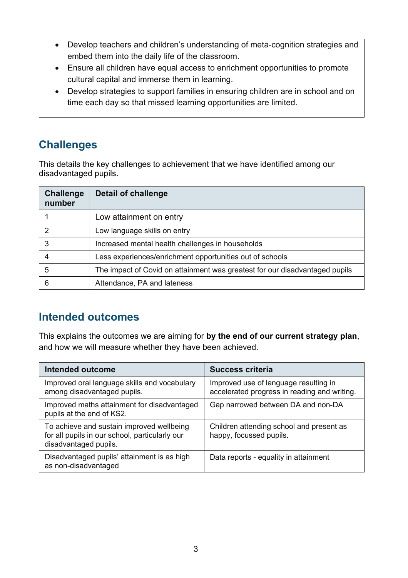- Develop teachers and children's understanding of meta-cognition strategies and embed them into the daily life of the classroom.
- Ensure all children have equal access to enrichment opportunities to promote cultural capital and immerse them in learning.
- Develop strategies to support families in ensuring children are in school and on time each day so that missed learning opportunities are limited.

## **Challenges**

This details the key challenges to achievement that we have identified among our disadvantaged pupils.

| <b>Challenge</b><br>number | <b>Detail of challenge</b>                                                  |
|----------------------------|-----------------------------------------------------------------------------|
|                            | Low attainment on entry                                                     |
|                            | Low language skills on entry                                                |
| 3                          | Increased mental health challenges in households                            |
|                            | Less experiences/enrichment opportunities out of schools                    |
| 5                          | The impact of Covid on attainment was greatest for our disadvantaged pupils |
| 6                          | Attendance, PA and lateness                                                 |

## **Intended outcomes**

This explains the outcomes we are aiming for **by the end of our current strategy plan**, and how we will measure whether they have been achieved.

| <b>Intended outcome</b>                                                                                              | <b>Success criteria</b>                                                               |
|----------------------------------------------------------------------------------------------------------------------|---------------------------------------------------------------------------------------|
| Improved oral language skills and vocabulary<br>among disadvantaged pupils.                                          | Improved use of language resulting in<br>accelerated progress in reading and writing. |
| Improved maths attainment for disadvantaged<br>pupils at the end of KS2.                                             | Gap narrowed between DA and non-DA                                                    |
| To achieve and sustain improved wellbeing<br>for all pupils in our school, particularly our<br>disadvantaged pupils. | Children attending school and present as<br>happy, focussed pupils.                   |
| Disadvantaged pupils' attainment is as high<br>as non-disadvantaged                                                  | Data reports - equality in attainment                                                 |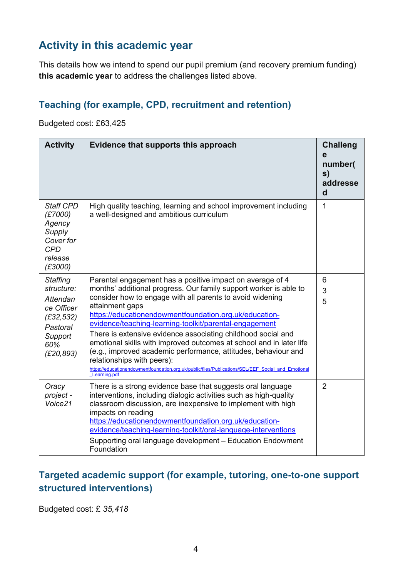## **Activity in this academic year**

This details how we intend to spend our pupil premium (and recovery premium funding) **this academic year** to address the challenges listed above.

#### **Teaching (for example, CPD, recruitment and retention)**

Budgeted cost: £63,425

| <b>Activity</b>                                                                                                   | Evidence that supports this approach                                                                                                                                                                                                                                                                                                                                                                                                                                                                                                                                                                                                                                                            | <b>Challeng</b><br>e<br>number(<br>s)<br>addresse<br>$\mathbf d$ |
|-------------------------------------------------------------------------------------------------------------------|-------------------------------------------------------------------------------------------------------------------------------------------------------------------------------------------------------------------------------------------------------------------------------------------------------------------------------------------------------------------------------------------------------------------------------------------------------------------------------------------------------------------------------------------------------------------------------------------------------------------------------------------------------------------------------------------------|------------------------------------------------------------------|
| <b>Staff CPD</b><br>(E7000)<br>Agency<br>Supply<br>Cover for<br><b>CPD</b><br>release<br>(E3000)                  | High quality teaching, learning and school improvement including<br>a well-designed and ambitious curriculum                                                                                                                                                                                                                                                                                                                                                                                                                                                                                                                                                                                    | 1                                                                |
| <b>Staffing</b><br>structure:<br>Attendan<br>ce Officer<br>(E32, 532)<br>Pastoral<br>Support<br>60%<br>(E20, 893) | Parental engagement has a positive impact on average of 4<br>months' additional progress. Our family support worker is able to<br>consider how to engage with all parents to avoid widening<br>attainment gaps<br>https://educationendowmentfoundation.org.uk/education-<br>evidence/teaching-learning-toolkit/parental-engagement<br>There is extensive evidence associating childhood social and<br>emotional skills with improved outcomes at school and in later life<br>(e.g., improved academic performance, attitudes, behaviour and<br>relationships with peers):<br>https://educationendowmentfoundation.org.uk/public/files/Publications/SEL/EEF Social and Emotional<br>Learning.pdf | 6<br>3<br>5                                                      |
| Oracy<br>project -<br>Voice21                                                                                     | There is a strong evidence base that suggests oral language<br>interventions, including dialogic activities such as high-quality<br>classroom discussion, are inexpensive to implement with high<br>impacts on reading<br>https://educationendowmentfoundation.org.uk/education-<br>evidence/teaching-learning-toolkit/oral-language-interventions<br>Supporting oral language development - Education Endowment<br>Foundation                                                                                                                                                                                                                                                                  | $\overline{2}$                                                   |

#### **Targeted academic support (for example, tutoring, one-to-one support structured interventions)**

Budgeted cost: £ *35,418*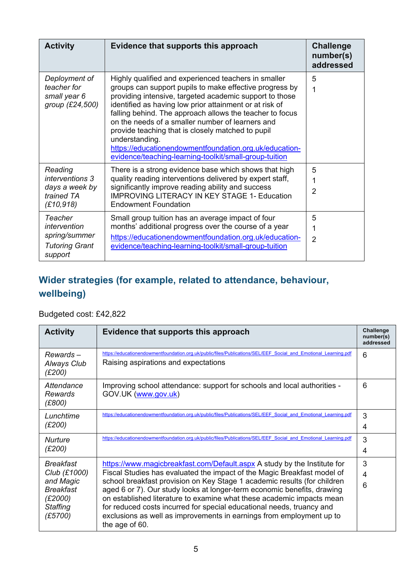| <b>Activity</b>                                                                | Evidence that supports this approach                                                                                                                                                                                                                                                                                                                                                                                                                                                                                                             | <b>Challenge</b><br>number(s)<br>addressed |
|--------------------------------------------------------------------------------|--------------------------------------------------------------------------------------------------------------------------------------------------------------------------------------------------------------------------------------------------------------------------------------------------------------------------------------------------------------------------------------------------------------------------------------------------------------------------------------------------------------------------------------------------|--------------------------------------------|
| Deployment of<br>teacher for<br>small year 6<br>group (£24,500)                | Highly qualified and experienced teachers in smaller<br>groups can support pupils to make effective progress by<br>providing intensive, targeted academic support to those<br>identified as having low prior attainment or at risk of<br>falling behind. The approach allows the teacher to focus<br>on the needs of a smaller number of learners and<br>provide teaching that is closely matched to pupil<br>understanding.<br>https://educationendowmentfoundation.org.uk/education-<br>evidence/teaching-learning-toolkit/small-group-tuition | 5<br>1                                     |
| Reading<br><i>interventions</i> 3<br>days a week by<br>trained TA<br>(£10,918) | There is a strong evidence base which shows that high<br>quality reading interventions delivered by expert staff,<br>significantly improve reading ability and success<br><b>IMPROVING LITERACY IN KEY STAGE 1- Education</b><br><b>Endowment Foundation</b>                                                                                                                                                                                                                                                                                     | 5<br>1<br>2                                |
| Teacher<br>intervention<br>spring/summer<br><b>Tutoring Grant</b><br>support   | Small group tuition has an average impact of four<br>months' additional progress over the course of a year<br>https://educationendowmentfoundation.org.uk/education-<br>evidence/teaching-learning-toolkit/small-group-tuition                                                                                                                                                                                                                                                                                                                   | 5<br>1<br>$\overline{2}$                   |

## **Wider strategies (for example, related to attendance, behaviour, wellbeing)**

#### Budgeted cost: £42,822

| <b>Activity</b>                                                                                     | Evidence that supports this approach                                                                                                                                                                                                                                                                                                                                                                                                                                                                                                                   | <b>Challenge</b><br>number(s)<br>addressed |
|-----------------------------------------------------------------------------------------------------|--------------------------------------------------------------------------------------------------------------------------------------------------------------------------------------------------------------------------------------------------------------------------------------------------------------------------------------------------------------------------------------------------------------------------------------------------------------------------------------------------------------------------------------------------------|--------------------------------------------|
| $Rewards -$<br>Always Club<br>(E200)                                                                | https://educationendowmentfoundation.org.uk/public/files/Publications/SEL/EEF Social_and Emotional Learning.pdf<br>Raising aspirations and expectations                                                                                                                                                                                                                                                                                                                                                                                                | 6                                          |
| Attendance<br>Rewards<br>(E800)                                                                     | Improving school attendance: support for schools and local authorities -<br>GOV.UK (www.gov.uk)                                                                                                                                                                                                                                                                                                                                                                                                                                                        | 6                                          |
| Lunchtime<br>(E200)                                                                                 | https://educationendowmentfoundation.org.uk/public/files/Publications/SEL/EEF Social and Emotional Learning.pdf                                                                                                                                                                                                                                                                                                                                                                                                                                        | 3<br>4                                     |
| <b>Nurture</b><br>(E200)                                                                            | https://educationendowmentfoundation.org.uk/public/files/Publications/SEL/EEF Social and Emotional Learning.pdf                                                                                                                                                                                                                                                                                                                                                                                                                                        | 3<br>4                                     |
| Breakfast<br>Club (£1000)<br>and Magic<br><b>Breakfast</b><br>(E2000)<br><b>Staffing</b><br>(£5700) | https://www.magicbreakfast.com/Default.aspx A study by the Institute for<br>Fiscal Studies has evaluated the impact of the Magic Breakfast model of<br>school breakfast provision on Key Stage 1 academic results (for children<br>aged 6 or 7). Our study looks at longer-term economic benefits, drawing<br>on established literature to examine what these academic impacts mean<br>for reduced costs incurred for special educational needs, truancy and<br>exclusions as well as improvements in earnings from employment up to<br>the age of 60. | 3<br>4<br>6                                |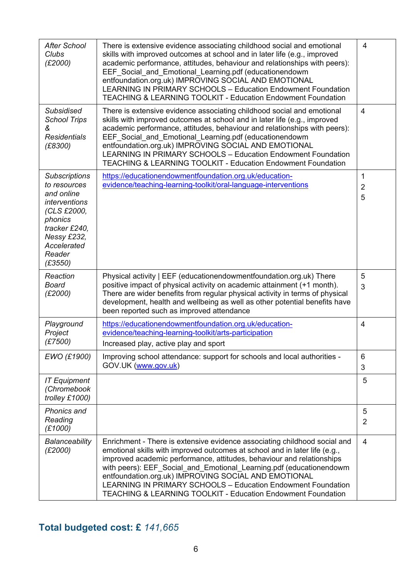| <b>After School</b><br>Clubs<br>(E2000)                                                                                                                                  | There is extensive evidence associating childhood social and emotional<br>skills with improved outcomes at school and in later life (e.g., improved<br>academic performance, attitudes, behaviour and relationships with peers):<br>EEF Social and Emotional Learning.pdf (educationendowm<br>entfoundation.org.uk) IMPROVING SOCIAL AND EMOTIONAL<br><b>LEARNING IN PRIMARY SCHOOLS - Education Endowment Foundation</b><br>TEACHING & LEARNING TOOLKIT - Education Endowment Foundation                         | 4                        |
|--------------------------------------------------------------------------------------------------------------------------------------------------------------------------|-------------------------------------------------------------------------------------------------------------------------------------------------------------------------------------------------------------------------------------------------------------------------------------------------------------------------------------------------------------------------------------------------------------------------------------------------------------------------------------------------------------------|--------------------------|
| Subsidised<br><b>School Trips</b><br>ଝ<br><b>Residentials</b><br>(E8300)                                                                                                 | There is extensive evidence associating childhood social and emotional<br>skills with improved outcomes at school and in later life (e.g., improved<br>academic performance, attitudes, behaviour and relationships with peers):<br>EEF Social and Emotional Learning.pdf (educationendowm<br>entfoundation.org.uk) IMPROVING SOCIAL AND EMOTIONAL<br><b>LEARNING IN PRIMARY SCHOOLS - Education Endowment Foundation</b><br><b>TEACHING &amp; LEARNING TOOLKIT - Education Endowment Foundation</b>              | $\overline{4}$           |
| <b>Subscriptions</b><br>to resources<br>and online<br><i>interventions</i><br>(CLS £2000,<br>phonics<br>tracker £240,<br>Nessy £232,<br>Accelerated<br>Reader<br>(E3550) | https://educationendowmentfoundation.org.uk/education-<br>evidence/teaching-learning-toolkit/oral-language-interventions                                                                                                                                                                                                                                                                                                                                                                                          | 1<br>$\overline{2}$<br>5 |
| Reaction<br><b>Board</b><br>(E2000)                                                                                                                                      | Physical activity   EEF (educationendowmentfoundation.org.uk) There<br>positive impact of physical activity on academic attainment (+1 month).<br>There are wider benefits from regular physical activity in terms of physical<br>development, health and wellbeing as well as other potential benefits have<br>been reported such as improved attendance                                                                                                                                                         | 5<br>3                   |
| Playground<br>Project<br>(£7500)                                                                                                                                         | https://educationendowmentfoundation.org.uk/education-<br>evidence/teaching-learning-toolkit/arts-participation<br>Increased play, active play and sport                                                                                                                                                                                                                                                                                                                                                          | 4                        |
| EWO (£1900)                                                                                                                                                              | Improving school attendance: support for schools and local authorities -<br>GOV.UK (www.gov.uk)                                                                                                                                                                                                                                                                                                                                                                                                                   | 6<br>3                   |
| <b>IT Equipment</b><br>(Chromebook<br>trolley £1000)                                                                                                                     |                                                                                                                                                                                                                                                                                                                                                                                                                                                                                                                   | 5                        |
| Phonics and<br>Reading<br>(E1000)                                                                                                                                        |                                                                                                                                                                                                                                                                                                                                                                                                                                                                                                                   | 5<br>$\overline{2}$      |
| Balanceability<br>(E2000)                                                                                                                                                | Enrichment - There is extensive evidence associating childhood social and<br>emotional skills with improved outcomes at school and in later life (e.g.,<br>improved academic performance, attitudes, behaviour and relationships<br>with peers): EEF Social and Emotional Learning.pdf (educationendowm<br>entfoundation.org.uk) IMPROVING SOCIAL AND EMOTIONAL<br><b>LEARNING IN PRIMARY SCHOOLS - Education Endowment Foundation</b><br><b>TEACHING &amp; LEARNING TOOLKIT - Education Endowment Foundation</b> | $\overline{4}$           |

## **Total budgeted cost: £** *141,665*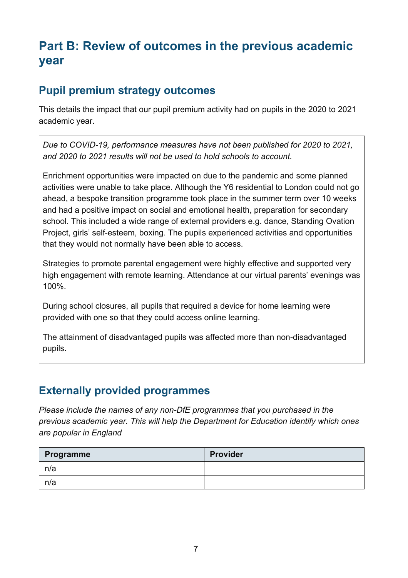## **Part B: Review of outcomes in the previous academic year**

### **Pupil premium strategy outcomes**

This details the impact that our pupil premium activity had on pupils in the 2020 to 2021 academic year.

*Due to COVID-19, performance measures have not been published for 2020 to 2021, and 2020 to 2021 results will not be used to hold schools to account.* 

Enrichment opportunities were impacted on due to the pandemic and some planned activities were unable to take place. Although the Y6 residential to London could not go ahead, a bespoke transition programme took place in the summer term over 10 weeks and had a positive impact on social and emotional health, preparation for secondary school. This included a wide range of external providers e.g. dance, Standing Ovation Project, girls' self-esteem, boxing. The pupils experienced activities and opportunities that they would not normally have been able to access.

Strategies to promote parental engagement were highly effective and supported very high engagement with remote learning. Attendance at our virtual parents' evenings was 100%.

During school closures, all pupils that required a device for home learning were provided with one so that they could access online learning.

The attainment of disadvantaged pupils was affected more than non-disadvantaged pupils.

## **Externally provided programmes**

*Please include the names of any non-DfE programmes that you purchased in the previous academic year. This will help the Department for Education identify which ones are popular in England*

| Programme | <b>Provider</b> |
|-----------|-----------------|
| n/a       |                 |
| n/a       |                 |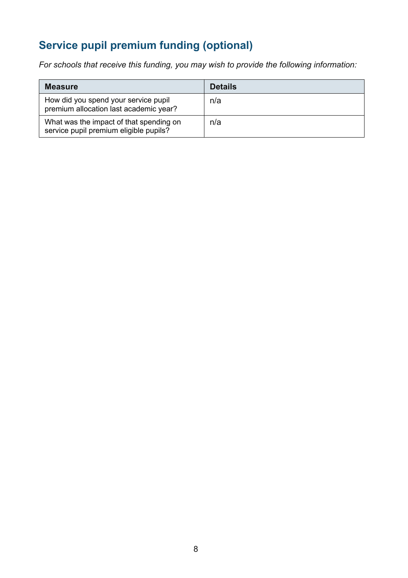## **Service pupil premium funding (optional)**

*For schools that receive this funding, you may wish to provide the following information:* 

| <b>Measure</b>                                                                    | <b>Details</b> |
|-----------------------------------------------------------------------------------|----------------|
| How did you spend your service pupil<br>premium allocation last academic year?    | n/a            |
| What was the impact of that spending on<br>service pupil premium eligible pupils? | n/a            |